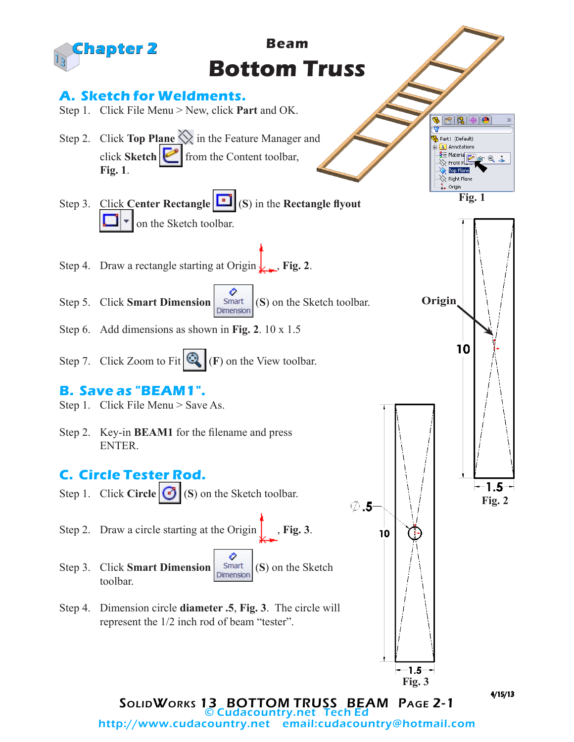

Cudacountry.net http://www.cudacountry.net email:cudacountry@hotmail.com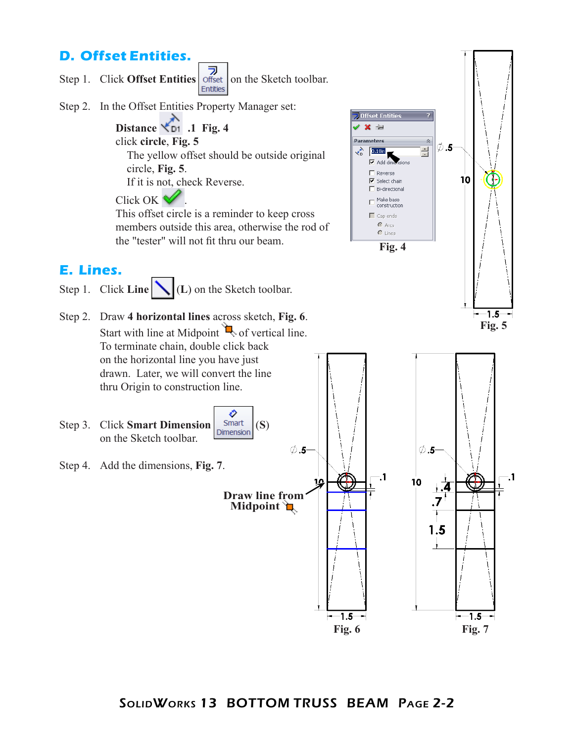# **D. Offset Entities.**



Step 2. In the Offset Entities Property Manager set:

**Distance .1 Fig. 4** click **circle**, **Fig. 5** The yellow offset should be outside original circle, **Fig. 5**. If it is not, check Reverse.

Click OK  $\triangleleft$ 

This offset circle is a reminder to keep cross members outside this area, otherwise the rod of the "tester" will not fit thru our beam.

#### **E. Lines.**

Step 1. Click **Line** (L) on the Sketch toolbar.

- Step 2. Draw **4 horizontal lines** across sketch, **Fig. 6**. Start with line at Midpoint  $\Box$  of vertical line. To terminate chain, double click back on the horizontal line you have just drawn. Later, we will convert the line thru Origin to construction line.
- Step 3. Click **Smart Dimension**  $\begin{bmatrix}$  Smart (S) on the Sketch toolbar.
- Step 4. Add the dimensions, **Fig. 7**.

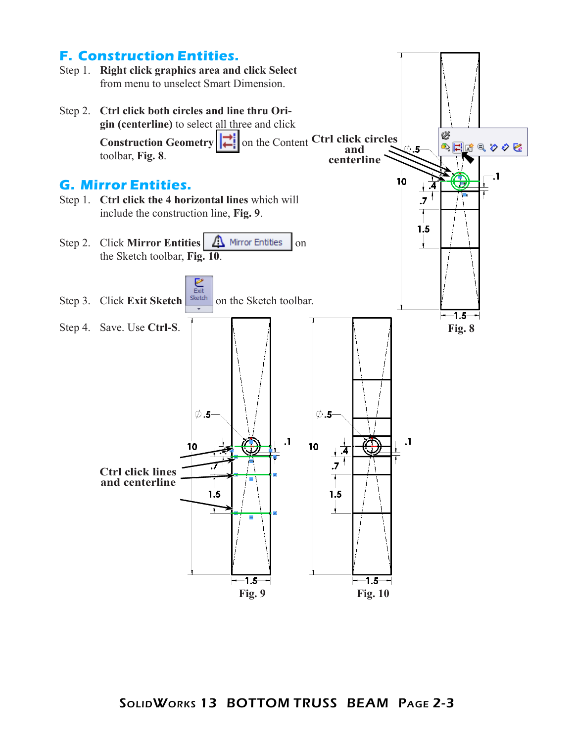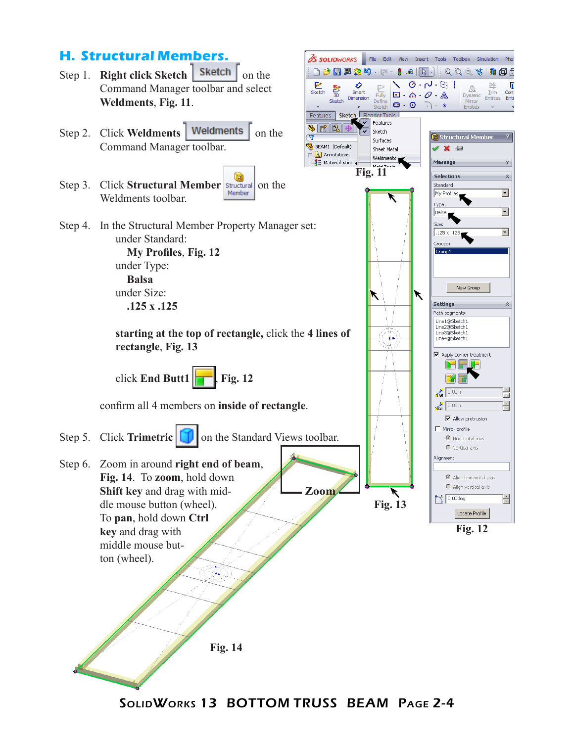### **H. Structural Members.**

- Step 1. **Right click Sketch** Sketch on the Command Manager toolbar and select **Weldments**, **Fig. 11**.
- Step 2. Click **Weldments** | Weldments | on the Command Manager toolbar.
- ÌÓ Step 3. Click **Structural Member Structural** on the Weldments toolbar.
- Step 4. In the Structural Member Property Manager set: under Standard: **My Profiles**, **Fig. 12**

under Type:  **Balsa** under Size:

 **.125 x .125**

 **starting at the top of rectangle,** click the **4 lines of rectangle**, **Fig. 13**

 $\epsilon$ <br>Sketch

Features |

 $\frac{|\mathcal{L}|}{|\mathcal{L}|}$ 

BEAM1 (Default)

 $A$  Annotations

— <mark>है</mark>⊟ Material <not sp

翌

Ô.

Smart

3D Smart<br>Sketch Dimension

*click* **End Butt1 Fig.** 12

confirm all 4 members on **inside of rectangle**.

Step 5. Click **Trimetric on** the Standard Views toolbar.

Step 6. Zoom in around **right end of beam**, **Fig. 14**. To **zoom**, hold down **Shift key** and drag with middle mouse button (wheel). To **pan**, hold down **Ctrl key** and drag with middle mouse button (wheel). **Zoom**

**Fig. 14**



SolidWorks 13 BOTTOM TRUSS BEAM Page 2-4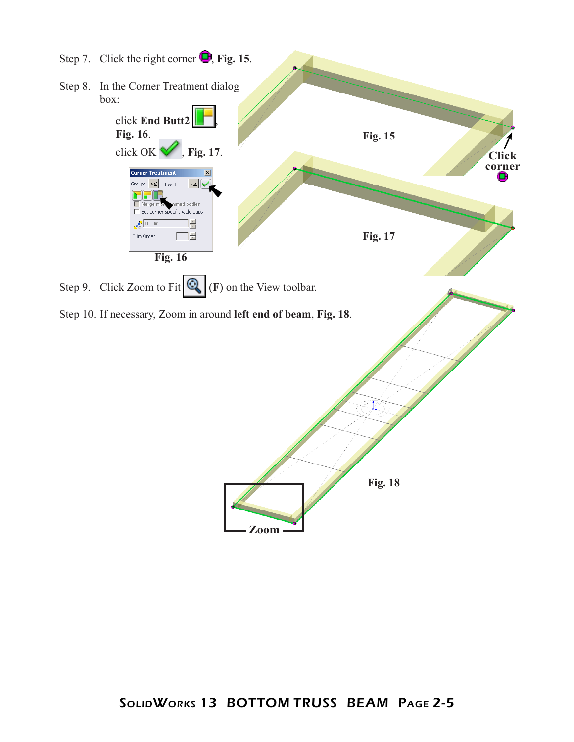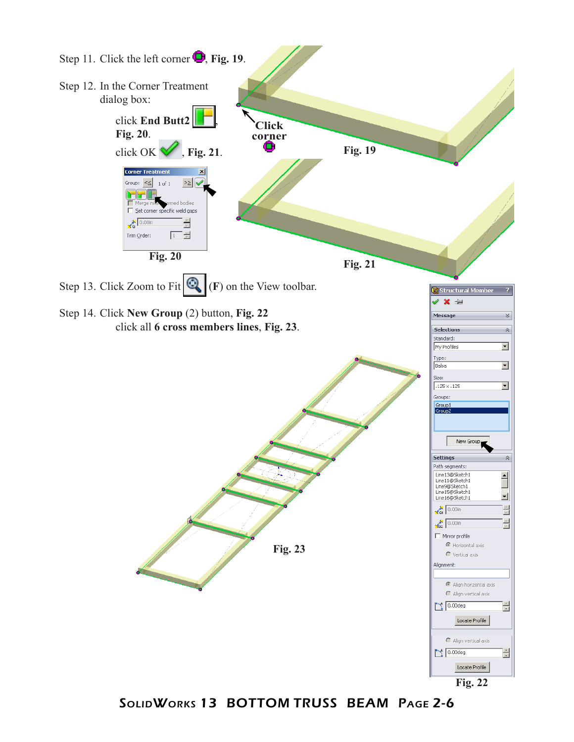

SolidWorks 13 BOTTOM TRUSS BEAM Page 2-6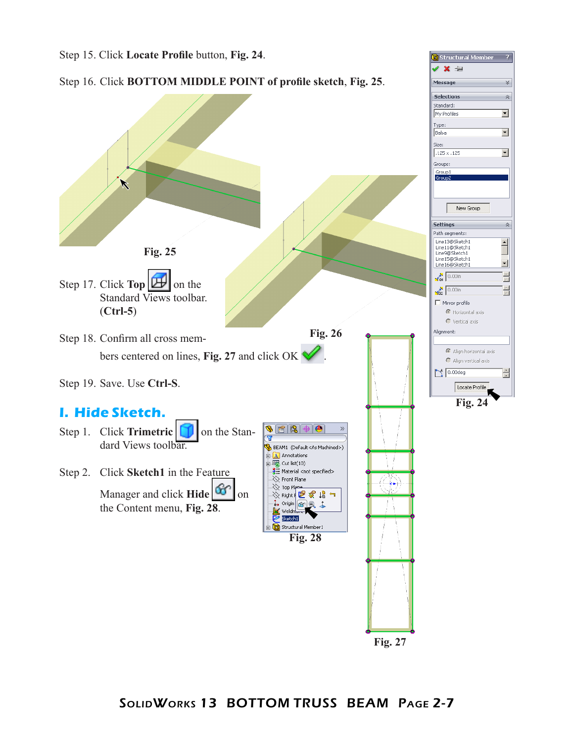